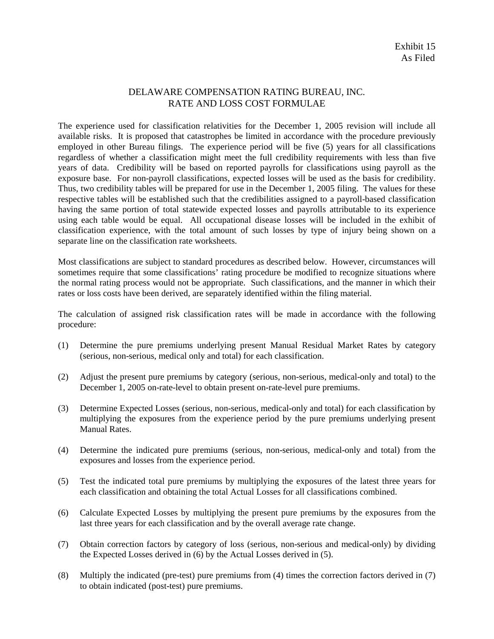## DELAWARE COMPENSATION RATING BUREAU, INC. RATE AND LOSS COST FORMULAE

The experience used for classification relativities for the December 1, 2005 revision will include all available risks. It is proposed that catastrophes be limited in accordance with the procedure previously employed in other Bureau filings. The experience period will be five (5) years for all classifications regardless of whether a classification might meet the full credibility requirements with less than five years of data. Credibility will be based on reported payrolls for classifications using payroll as the exposure base. For non-payroll classifications, expected losses will be used as the basis for credibility. Thus, two credibility tables will be prepared for use in the December 1, 2005 filing. The values for these respective tables will be established such that the credibilities assigned to a payroll-based classification having the same portion of total statewide expected losses and payrolls attributable to its experience using each table would be equal. All occupational disease losses will be included in the exhibit of classification experience, with the total amount of such losses by type of injury being shown on a separate line on the classification rate worksheets.

Most classifications are subject to standard procedures as described below. However, circumstances will sometimes require that some classifications' rating procedure be modified to recognize situations where the normal rating process would not be appropriate. Such classifications, and the manner in which their rates or loss costs have been derived, are separately identified within the filing material.

The calculation of assigned risk classification rates will be made in accordance with the following procedure:

- (1) Determine the pure premiums underlying present Manual Residual Market Rates by category (serious, non-serious, medical only and total) for each classification.
- (2) Adjust the present pure premiums by category (serious, non-serious, medical-only and total) to the December 1, 2005 on-rate-level to obtain present on-rate-level pure premiums.
- (3) Determine Expected Losses (serious, non-serious, medical-only and total) for each classification by multiplying the exposures from the experience period by the pure premiums underlying present Manual Rates.
- (4) Determine the indicated pure premiums (serious, non-serious, medical-only and total) from the exposures and losses from the experience period.
- (5) Test the indicated total pure premiums by multiplying the exposures of the latest three years for each classification and obtaining the total Actual Losses for all classifications combined.
- (6) Calculate Expected Losses by multiplying the present pure premiums by the exposures from the last three years for each classification and by the overall average rate change.
- (7) Obtain correction factors by category of loss (serious, non-serious and medical-only) by dividing the Expected Losses derived in (6) by the Actual Losses derived in (5).
- (8) Multiply the indicated (pre-test) pure premiums from (4) times the correction factors derived in (7) to obtain indicated (post-test) pure premiums.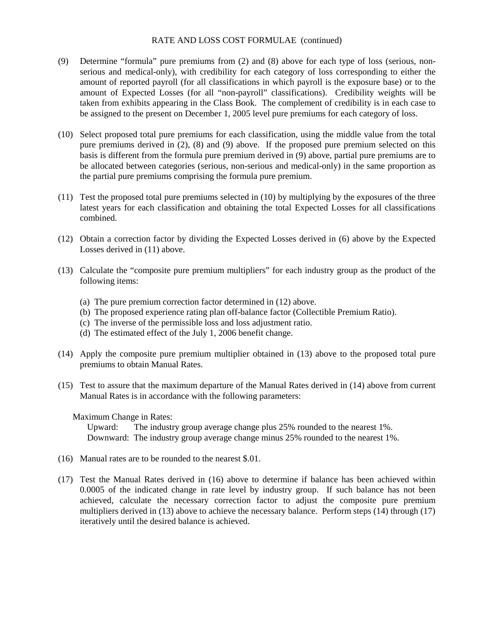#### RATE AND LOSS COST FORMULAE (continued)

- (9) Determine "formula" pure premiums from (2) and (8) above for each type of loss (serious, nonserious and medical-only), with credibility for each category of loss corresponding to either the amount of reported payroll (for all classifications in which payroll is the exposure base) or to the amount of Expected Losses (for all "non-payroll" classifications). Credibility weights will be taken from exhibits appearing in the Class Book. The complement of credibility is in each case to be assigned to the present on December 1, 2005 level pure premiums for each category of loss.
- (10) Select proposed total pure premiums for each classification, using the middle value from the total pure premiums derived in (2), (8) and (9) above. If the proposed pure premium selected on this basis is different from the formula pure premium derived in (9) above, partial pure premiums are to be allocated between categories (serious, non-serious and medical-only) in the same proportion as the partial pure premiums comprising the formula pure premium.
- (11) Test the proposed total pure premiums selected in (10) by multiplying by the exposures of the three latest years for each classification and obtaining the total Expected Losses for all classifications combined.
- (12) Obtain a correction factor by dividing the Expected Losses derived in (6) above by the Expected Losses derived in (11) above.
- (13) Calculate the "composite pure premium multipliers" for each industry group as the product of the following items:
	- (a) The pure premium correction factor determined in (12) above.
	- (b) The proposed experience rating plan off-balance factor (Collectible Premium Ratio).
	- (c) The inverse of the permissible loss and loss adjustment ratio.
	- (d) The estimated effect of the July 1, 2006 benefit change.
- (14) Apply the composite pure premium multiplier obtained in (13) above to the proposed total pure premiums to obtain Manual Rates.
- (15) Test to assure that the maximum departure of the Manual Rates derived in (14) above from current Manual Rates is in accordance with the following parameters:

#### Maximum Change in Rates:

 Upward: The industry group average change plus 25% rounded to the nearest 1%. Downward: The industry group average change minus 25% rounded to the nearest 1%.

- (16) Manual rates are to be rounded to the nearest \$.01.
- (17) Test the Manual Rates derived in (16) above to determine if balance has been achieved within 0.0005 of the indicated change in rate level by industry group. If such balance has not been achieved, calculate the necessary correction factor to adjust the composite pure premium multipliers derived in (13) above to achieve the necessary balance. Perform steps (14) through (17) iteratively until the desired balance is achieved.